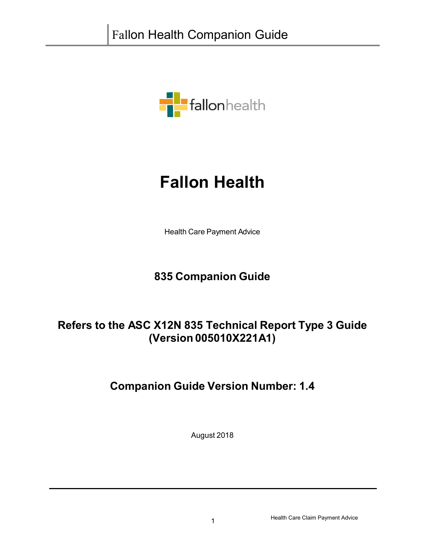

# **Fallon Health**

Health Care Payment Advice

### **835 Companion Guide**

### **Refers to the ASC X12N 835 Technical Report Type 3 Guide (Version 005010X221A1)**

### **Companion Guide Version Number: 1.4**

August 2018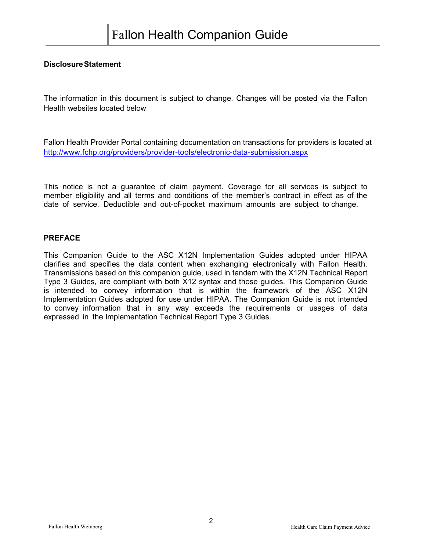#### **DisclosureStatement**

The information in this document is subject to change. Changes will be posted via the Fallon Health websites located below

Fallon Health Provider Portal containing documentation on transactions for providers is located at <http://www.fchp.org/providers/provider-tools/electronic-data-submission.aspx>

This notice is not a guarantee of claim payment. Coverage for all services is subject to member eligibility and all terms and conditions of the member's contract in effect as of the date of service. Deductible and out-of-pocket maximum amounts are subject to change.

#### **PREFACE**

This Companion Guide to the ASC X12N Implementation Guides adopted under HIPAA clarifies and specifies the data content when exchanging electronically with Fallon Health. Transmissions based on this companion guide, used in tandem with the X12N Technical Report Type 3 Guides, are compliant with both X12 syntax and those guides. This Companion Guide is intended to convey information that is within the framework of the ASC X12N Implementation Guides adopted for use under HIPAA. The Companion Guide is not intended to convey information that in any way exceeds the requirements or usages of data expressed in the Implementation Technical Report Type 3 Guides.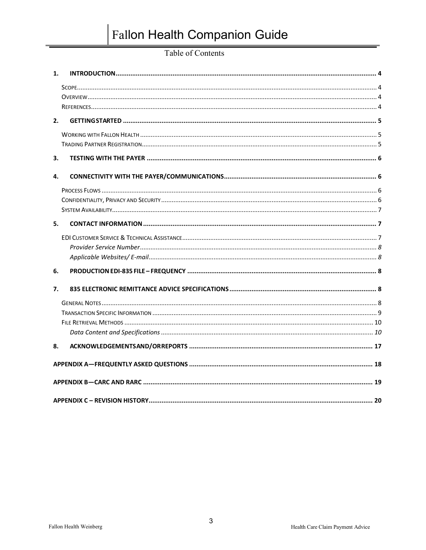### Table of Contents

| 1. |  |
|----|--|
|    |  |
|    |  |
|    |  |
| 2. |  |
|    |  |
|    |  |
| З. |  |
| 4. |  |
|    |  |
|    |  |
|    |  |
| 5. |  |
|    |  |
|    |  |
|    |  |
| 6. |  |
| 7. |  |
|    |  |
|    |  |
|    |  |
|    |  |
| 8. |  |
|    |  |
|    |  |
|    |  |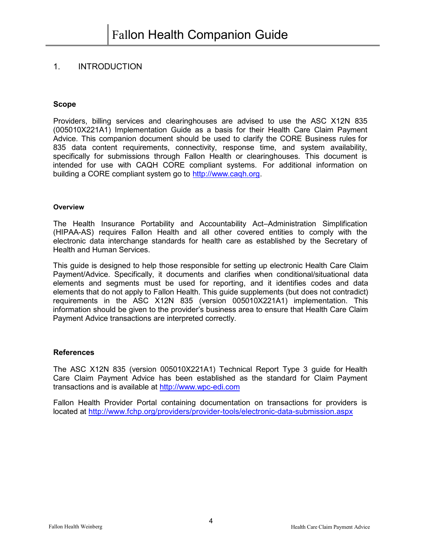#### <span id="page-3-0"></span>1. INTRODUCTION

#### <span id="page-3-1"></span>**Scope**

Providers, billing services and clearinghouses are advised to use the ASC X12N 835 (005010X221A1) Implementation Guide as a basis for their Health Care Claim Payment Advice. This companion document should be used to clarify the CORE Business rules for 835 data content requirements, connectivity, response time, and system availability, specifically for submissions through Fallon Health or clearinghouses. This document is intended for use with CAQH CORE compliant systems. For additional information on building a CORE compliant system go to [http://www.caqh.org.](http://www.caqh.org/)

#### <span id="page-3-2"></span>**Overview**

The Health Insurance Portability and Accountability Act–Administration Simplification (HIPAA-AS) requires Fallon Health and all other covered entities to comply with the electronic data interchange standards for health care as established by the Secretary of Health and Human Services.

This guide is designed to help those responsible for setting up electronic Health Care Claim Payment/Advice. Specifically, it documents and clarifies when conditional/situational data elements and segments must be used for reporting, and it identifies codes and data elements that do not apply to Fallon Health. This guide supplements (but does not contradict) requirements in the ASC X12N 835 (version 005010X221A1) implementation. This information should be given to the provider's business area to ensure that Health Care Claim Payment Advice transactions are interpreted correctly.

#### <span id="page-3-3"></span>**References**

The ASC X12N 835 (version 005010X221A1) Technical Report Type 3 guide for Health Care Claim Payment Advice has been established as the standard for Claim Payment transactions and is available at [http://www.wpc-edi.com](http://www.wpc-edi.com/)

Fallon Health Provider Portal containing documentation on transactions for providers is located at <http://www.fchp.org/providers/provider-tools/electronic-data-submission.aspx>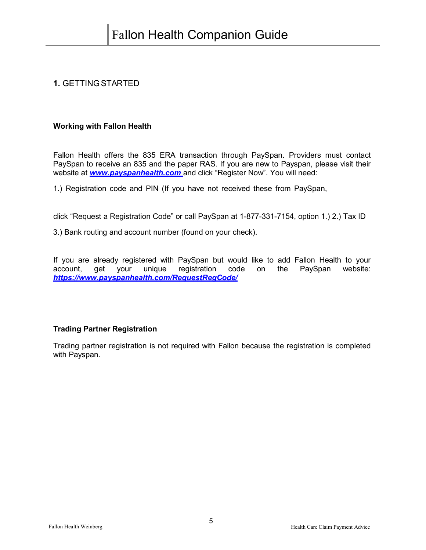#### <span id="page-4-0"></span>**1.** GETTINGSTARTED

#### <span id="page-4-1"></span>**Working with Fallon Health**

Fallon Health offers the 835 ERA transaction through PaySpan. Providers must contact PaySpan to receive an 835 and the paper RAS. If you are new to Payspan, please visit their website at *[www.payspanhealth.com](http://www.payspanhealth.com/)* and click "Register Now". You will need:

1.) Registration code and PIN (If you have not received these from PaySpan,

click "Request a Registration Code" or call PaySpan at 1-877-331-7154, option 1.) 2.) Tax ID

3.) Bank routing and account number (found on your check).

If you are already registered with PaySpan but would like to add Fallon Health to your account, get your unique registration code on the PaySpan website: *<https://www.payspanhealth.com/RequestRegCode/>*

#### <span id="page-4-2"></span>**Trading Partner Registration**

Trading partner registration is not required with Fallon because the registration is completed with Payspan.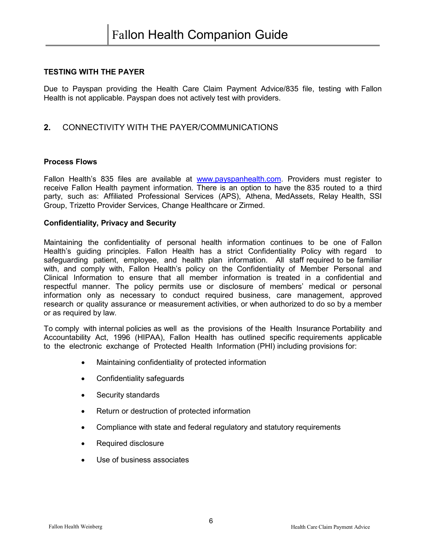#### <span id="page-5-0"></span>**TESTING WITH THE PAYER**

Due to Payspan providing the Health Care Claim Payment Advice/835 file, testing with Fallon Health is not applicable. Payspan does not actively test with providers.

#### <span id="page-5-1"></span>**2.** CONNECTIVITY WITH THE PAYER/COMMUNICATIONS

#### <span id="page-5-2"></span>**Process Flows**

Fallon Health's 835 files are available at [www.payspanhealth.com.](http://www.payspanhealth.com/) Providers must register to receive Fallon Health payment information. There is an option to have the 835 routed to a third party, such as: Affiliated Professional Services (APS), Athena, MedAssets, Relay Health, SSI Group, Trizetto Provider Services, Change Healthcare or Zirmed.

#### <span id="page-5-3"></span>**Confidentiality, Privacy and Security**

Maintaining the confidentiality of personal health information continues to be one of Fallon Health's guiding principles. Fallon Health has a strict Confidentiality Policy with regard to safeguarding patient, employee, and health plan information. All staff required to be familiar with, and comply with, Fallon Health's policy on the Confidentiality of Member Personal and Clinical Information to ensure that all member information is treated in a confidential and respectful manner. The policy permits use or disclosure of members' medical or personal information only as necessary to conduct required business, care management, approved research or quality assurance or measurement activities, or when authorized to do so by a member or as required by law.

To comply with internal policies as well as the provisions of the Health Insurance Portability and Accountability Act, 1996 (HIPAA), Fallon Health has outlined specific requirements applicable to the electronic exchange of Protected Health Information (PHI) including provisions for:

- Maintaining confidentiality of protected information
- Confidentiality safeguards
- Security standards
- Return or destruction of protected information
- Compliance with state and federal regulatory and statutory requirements
- Required disclosure
- Use of business associates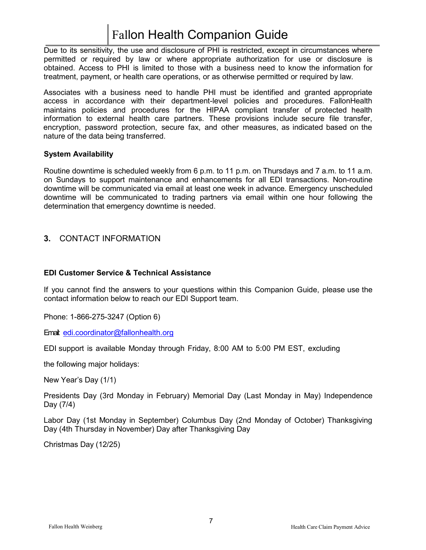Due to its sensitivity, the use and disclosure of PHI is restricted, except in circumstances where permitted or required by law or where appropriate authorization for use or disclosure is obtained. Access to PHI is limited to those with a business need to know the information for treatment, payment, or health care operations, or as otherwise permitted or required by law.

Associates with a business need to handle PHI must be identified and granted appropriate access in accordance with their department-level policies and procedures. FallonHealth maintains policies and procedures for the HIPAA compliant transfer of protected health information to external health care partners. These provisions include secure file transfer, encryption, password protection, secure fax, and other measures, as indicated based on the nature of the data being transferred.

#### <span id="page-6-0"></span>**System Availability**

Routine downtime is scheduled weekly from 6 p.m. to 11 p.m. on Thursdays and 7 a.m. to 11 a.m. on Sundays to support maintenance and enhancements for all EDI transactions. Non-routine downtime will be communicated via email at least one week in advance. Emergency unscheduled downtime will be communicated to trading partners via email within one hour following the determination that emergency downtime is needed.

#### <span id="page-6-1"></span>**3.** CONTACT INFORMATION

#### <span id="page-6-2"></span>**EDI Customer Service & Technical Assistance**

If you cannot find the answers to your questions within this Companion Guide, please use the contact information below to reach our EDI Support team.

Phone: 1-866-275-3247 (Option 6)

Email: [edi.coordinator@fallonhealth.org](mailto:edi.coordinator@fallonhealth.org)

EDI support is available Monday through Friday, 8:00 AM to 5:00 PM EST, excluding

the following major holidays:

New Year's Day (1/1)

Presidents Day (3rd Monday in February) Memorial Day (Last Monday in May) Independence Day (7/4)

Labor Day (1st Monday in September) Columbus Day (2nd Monday of October) Thanksgiving Day (4th Thursday in November) Day after Thanksgiving Day

Christmas Day (12/25)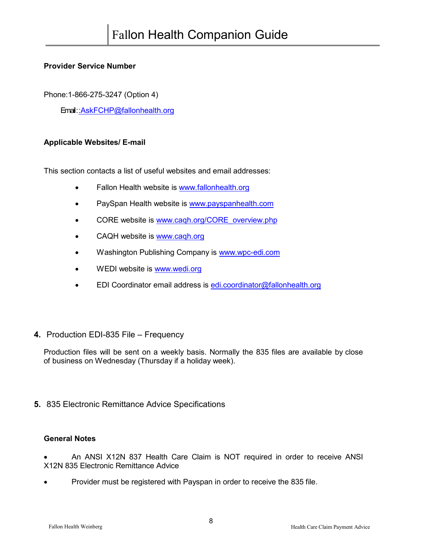#### <span id="page-7-0"></span>**Provider Service Number**

Phone:1-866-275-3247 (Option 4)

Email [: :AskFCHP@fallonhealth.org](mailto:AskFCHP@fallonhealth.org)

#### <span id="page-7-1"></span>**Applicable Websites/ E-mail**

This section contacts a list of useful websites and email addresses:

- Fallon Health website is [www.fallonhealth.org](http://www.fallonhealth.org/)
- PaySpan Health website is [www.payspanhealth.com](http://www.payspanhealth.com/)
- CORE website is [www.caqh.org/CORE\\_overview.php](http://www.caqh.org/CORE_overview.php)
- CAQH website is [www.caqh.org](http://www.caqh.org/)
- Washington Publishing Company is [www.wpc-edi.com](http://www.wpc-edi.com/)
- WEDI website is [www.wedi.org](http://www.wedi.org/)
- EDI Coordinator email address is [edi.coordinator@fallonhealth.org](mailto:edi.coordinator@fallonhealth.org)
- <span id="page-7-2"></span>**4.** Production EDI-835 File – Frequency

Production files will be sent on a weekly basis. Normally the 835 files are available by close of business on Wednesday (Thursday if a holiday week).

<span id="page-7-3"></span>**5.** 835 Electronic Remittance Advice Specifications

#### <span id="page-7-4"></span>**General Notes**

• An ANSI X12N 837 Health Care Claim is NOT required in order to receive ANSI X12N 835 Electronic Remittance Advice

• Provider must be registered with Payspan in order to receive the 835 file.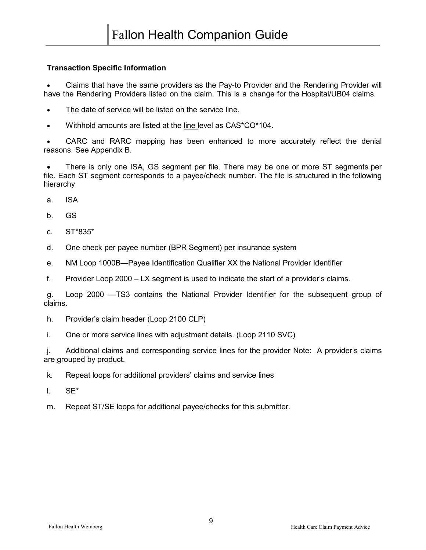#### <span id="page-8-0"></span>**Transaction Specific Information**

• Claims that have the same providers as the Pay-to Provider and the Rendering Provider will have the Rendering Providers listed on the claim. This is a change for the Hospital/UB04 claims.

- The date of service will be listed on the service line.
- Withhold amounts are listed at the line level as CAS\*CO\*104.

CARC and RARC mapping has been enhanced to more accurately reflect the denial reasons. See Appendix B.

• There is only one ISA, GS segment per file. There may be one or more ST segments per file. Each ST segment corresponds to a payee/check number. The file is structured in the following hierarchy

- a. ISA
- b. GS
- c. ST\*835\*
- d. One check per payee number (BPR Segment) per insurance system
- e. NM Loop 1000B—Payee Identification Qualifier XX the National Provider Identifier
- f. Provider Loop 2000 LX segment is used to indicate the start of a provider's claims.

g. Loop 2000 —TS3 contains the National Provider Identifier for the subsequent group of claims.

- h. Provider's claim header (Loop 2100 CLP)
- i. One or more service lines with adjustment details. (Loop 2110 SVC)

j. Additional claims and corresponding service lines for the provider Note: A provider's claims are grouped by product.

k. Repeat loops for additional providers' claims and service lines

- l. SE\*
- m. Repeat ST/SE loops for additional payee/checks for this submitter.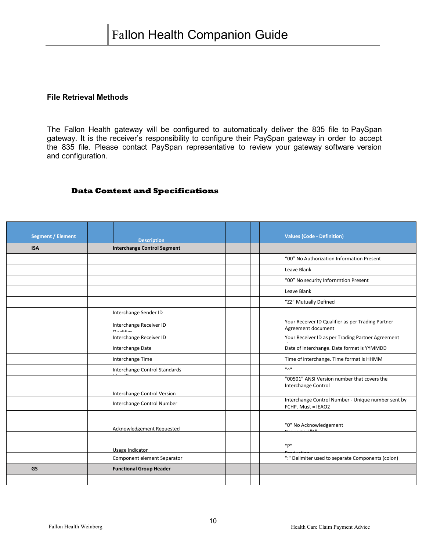#### <span id="page-9-0"></span>**File Retrieval Methods**

The Fallon Health gateway will be configured to automatically deliver the 835 file to PaySpan gateway. It is the receiver's responsibility to configure their PaySpan gateway in order to accept the 835 file. Please contact PaySpan representative to review your gateway software version and configuration.

#### <span id="page-9-1"></span> **Data Content and Specifications**

| <b>Segment / Element</b> | <b>Description</b>                                               |  |  | <b>Values (Code - Definition)</b>                                         |
|--------------------------|------------------------------------------------------------------|--|--|---------------------------------------------------------------------------|
| <b>ISA</b>               | <b>Interchange Control Segment</b>                               |  |  |                                                                           |
|                          |                                                                  |  |  | "00" No Authorization Information Present                                 |
|                          |                                                                  |  |  | Leave Blank                                                               |
|                          |                                                                  |  |  | "00" No security Infornrntion Present                                     |
|                          |                                                                  |  |  | Leave Blank                                                               |
|                          |                                                                  |  |  | "ZZ" Mutually Defined                                                     |
|                          | Interchange Sender ID                                            |  |  |                                                                           |
|                          | Interchange Receiver ID<br>0.001                                 |  |  | Your Receiver ID Qualifier as per Trading Partner<br>Agreement document   |
|                          | Interchange Receiver ID                                          |  |  | Your Receiver ID as per Trading Partner Agreement                         |
|                          | Interchange Date                                                 |  |  | Date of interchange. Date format is YYMMDD                                |
|                          | Interchange Time                                                 |  |  | Time of interchange. Time format is HHMM                                  |
|                          | Interchange Control Standards                                    |  |  | $^{\prime\prime}$ A $^{\prime\prime}$                                     |
|                          |                                                                  |  |  | "00501" ANSI Version number that covers the<br><b>Interchange Control</b> |
|                          | <b>Interchange Control Version</b><br>Interchange Control Number |  |  | Interchange Control Number - Unique number sent by<br>FCHP. Must = IEAO2  |
|                          | Acknowledgement Requested                                        |  |  | "0" No Acknowledgement<br>$-1.11411$                                      |
|                          | Usage Indicator                                                  |  |  | "P"                                                                       |
|                          | Component element Separator                                      |  |  | ":" Delimiter used to separate Components (colon)                         |
| <b>GS</b>                | <b>Functional Group Header</b>                                   |  |  |                                                                           |
|                          |                                                                  |  |  |                                                                           |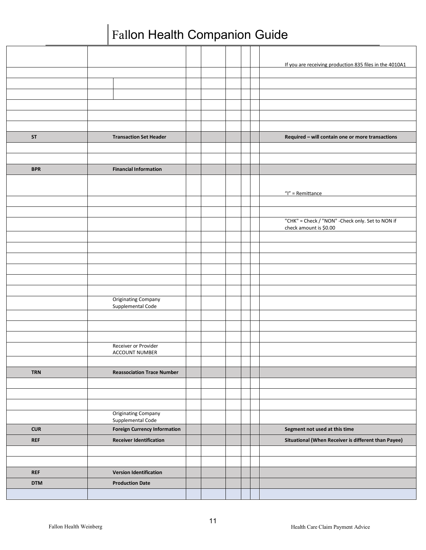|            |                                                 |  |  | If you are receiving production 835 files in the 4010A1 |
|------------|-------------------------------------------------|--|--|---------------------------------------------------------|
|            |                                                 |  |  |                                                         |
|            |                                                 |  |  |                                                         |
|            |                                                 |  |  |                                                         |
|            |                                                 |  |  |                                                         |
|            |                                                 |  |  |                                                         |
| <b>ST</b>  | <b>Transaction Set Header</b>                   |  |  | Required - will contain one or more transactions        |
|            |                                                 |  |  |                                                         |
|            |                                                 |  |  |                                                         |
| <b>BPR</b> | <b>Financial Information</b>                    |  |  |                                                         |
|            |                                                 |  |  |                                                         |
|            |                                                 |  |  | $''$  " = Remittance                                    |
|            |                                                 |  |  |                                                         |
|            |                                                 |  |  | "CHK" = Check / "NON" - Check only. Set to NON if       |
|            |                                                 |  |  | check amount is \$0.00                                  |
|            |                                                 |  |  |                                                         |
|            |                                                 |  |  |                                                         |
|            |                                                 |  |  |                                                         |
|            |                                                 |  |  |                                                         |
|            |                                                 |  |  |                                                         |
|            |                                                 |  |  |                                                         |
|            | <b>Originating Company</b><br>Supplemental Code |  |  |                                                         |
|            |                                                 |  |  |                                                         |
|            |                                                 |  |  |                                                         |
|            |                                                 |  |  |                                                         |
|            | Receiver or Provider<br>ACCOUNT NUMBER          |  |  |                                                         |
|            |                                                 |  |  |                                                         |
| <b>TRN</b> | <b>Reassociation Trace Number</b>               |  |  |                                                         |
|            |                                                 |  |  |                                                         |
|            |                                                 |  |  |                                                         |
|            |                                                 |  |  |                                                         |
|            | <b>Originating Company</b><br>Supplemental Code |  |  |                                                         |
| <b>CUR</b> | <b>Foreign Currency Information</b>             |  |  | Segment not used at this time                           |
| <b>REF</b> | <b>Receiver Identification</b>                  |  |  | Situational (When Receiver is different than Payee)     |
|            |                                                 |  |  |                                                         |
|            |                                                 |  |  |                                                         |
| <b>REF</b> | <b>Version Identification</b>                   |  |  |                                                         |
| <b>DTM</b> | <b>Production Date</b>                          |  |  |                                                         |
|            |                                                 |  |  |                                                         |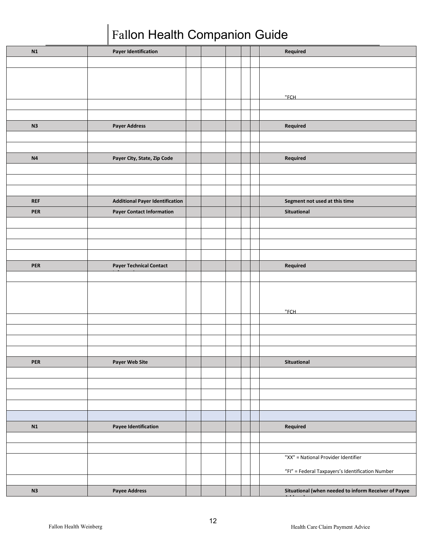| N1             | <b>Payer Identification</b>            |  |  | Required                                             |
|----------------|----------------------------------------|--|--|------------------------------------------------------|
|                |                                        |  |  |                                                      |
|                |                                        |  |  |                                                      |
|                |                                        |  |  |                                                      |
|                |                                        |  |  |                                                      |
|                |                                        |  |  | "FCH                                                 |
|                |                                        |  |  |                                                      |
|                |                                        |  |  |                                                      |
| N3             | <b>Payer Address</b>                   |  |  | Required                                             |
|                |                                        |  |  |                                                      |
|                |                                        |  |  |                                                      |
| N <sub>4</sub> | Payer City, State, Zip Code            |  |  | Required                                             |
|                |                                        |  |  |                                                      |
|                |                                        |  |  |                                                      |
|                |                                        |  |  |                                                      |
| <b>REF</b>     | <b>Additional Payer Identification</b> |  |  | Segment not used at this time                        |
| PER            | <b>Payer Contact Information</b>       |  |  | Situational                                          |
|                |                                        |  |  |                                                      |
|                |                                        |  |  |                                                      |
|                |                                        |  |  |                                                      |
|                |                                        |  |  |                                                      |
|                |                                        |  |  |                                                      |
| <b>PER</b>     | <b>Payer Technical Contact</b>         |  |  | Required                                             |
|                |                                        |  |  |                                                      |
|                |                                        |  |  |                                                      |
|                |                                        |  |  |                                                      |
|                |                                        |  |  |                                                      |
|                |                                        |  |  | "FCH                                                 |
|                |                                        |  |  |                                                      |
|                |                                        |  |  |                                                      |
|                |                                        |  |  |                                                      |
|                |                                        |  |  |                                                      |
| PER            | <b>Payer Web Site</b>                  |  |  | Situational                                          |
|                |                                        |  |  |                                                      |
|                |                                        |  |  |                                                      |
|                |                                        |  |  |                                                      |
|                |                                        |  |  |                                                      |
|                |                                        |  |  |                                                      |
| $\mathbf{N1}$  | <b>Payee Identification</b>            |  |  | Required                                             |
|                |                                        |  |  |                                                      |
|                |                                        |  |  |                                                      |
|                |                                        |  |  | "XX" = National Provider Identifier                  |
|                |                                        |  |  |                                                      |
|                |                                        |  |  | "FI" = Federal Taxpayers's Identification Number     |
|                |                                        |  |  |                                                      |
| N3             | <b>Payee Address</b>                   |  |  | Situational (when needed to inform Receiver of Payee |
|                |                                        |  |  |                                                      |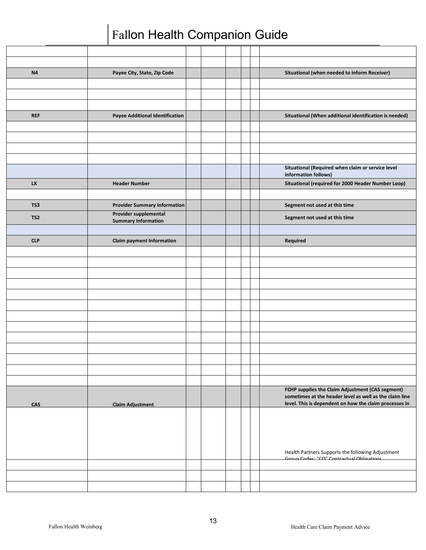| N <sub>4</sub>  | Payee City, State, Zip Code                         |  |  | Situational (when needed to inform Receiver)                                                                |
|-----------------|-----------------------------------------------------|--|--|-------------------------------------------------------------------------------------------------------------|
|                 |                                                     |  |  |                                                                                                             |
|                 |                                                     |  |  |                                                                                                             |
|                 |                                                     |  |  |                                                                                                             |
| <b>REF</b>      | <b>Payee Additional Identification</b>              |  |  | Situational (When additional identification is needed)                                                      |
|                 |                                                     |  |  |                                                                                                             |
|                 |                                                     |  |  |                                                                                                             |
|                 |                                                     |  |  |                                                                                                             |
|                 |                                                     |  |  |                                                                                                             |
|                 |                                                     |  |  | Situational (Required when claim or service level<br>information follows)                                   |
| LX              | <b>Header Number</b>                                |  |  | Situational (required for 2000 Header Number Loop)                                                          |
|                 |                                                     |  |  |                                                                                                             |
| TS3             | <b>Provider Summary Information</b>                 |  |  | Segment not used at this time                                                                               |
| TS <sub>2</sub> | Provider supplemental<br><b>Summary Information</b> |  |  | Segment not used at this time                                                                               |
|                 |                                                     |  |  |                                                                                                             |
| <b>CLP</b>      | <b>Claim payment Information</b>                    |  |  | Required                                                                                                    |
|                 |                                                     |  |  |                                                                                                             |
|                 |                                                     |  |  |                                                                                                             |
|                 |                                                     |  |  |                                                                                                             |
|                 |                                                     |  |  |                                                                                                             |
|                 |                                                     |  |  |                                                                                                             |
|                 |                                                     |  |  |                                                                                                             |
|                 |                                                     |  |  |                                                                                                             |
|                 |                                                     |  |  |                                                                                                             |
|                 |                                                     |  |  |                                                                                                             |
|                 |                                                     |  |  |                                                                                                             |
|                 |                                                     |  |  |                                                                                                             |
|                 |                                                     |  |  |                                                                                                             |
|                 |                                                     |  |  |                                                                                                             |
|                 |                                                     |  |  | FCHP supplies the Claim Adjustment (CAS segment)<br>sometimes at the header level as well as the claim line |
| CAS             | <b>Claim Adjustment</b>                             |  |  | level. This is dependent on how the claim processes in                                                      |
|                 |                                                     |  |  |                                                                                                             |
|                 |                                                     |  |  |                                                                                                             |
|                 |                                                     |  |  |                                                                                                             |
|                 |                                                     |  |  |                                                                                                             |
|                 |                                                     |  |  | Health Partners Supports the following Adjustment<br>Group Codos: "CO" Contractual Obligations              |
|                 |                                                     |  |  |                                                                                                             |
|                 |                                                     |  |  |                                                                                                             |
|                 |                                                     |  |  |                                                                                                             |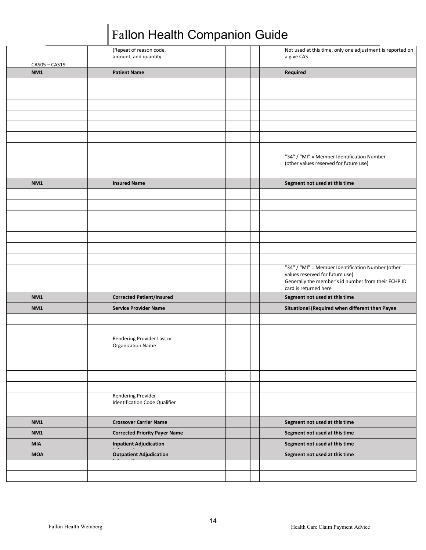|                    | (Repeat of reason code,<br>amount, and quantity            |  |  | Not used at this time, only one adjustment is reported on<br>a give CAS              |
|--------------------|------------------------------------------------------------|--|--|--------------------------------------------------------------------------------------|
| CAS05-CAS19<br>NM1 | <b>Patient Name</b>                                        |  |  | Required                                                                             |
|                    |                                                            |  |  |                                                                                      |
|                    |                                                            |  |  |                                                                                      |
|                    |                                                            |  |  |                                                                                      |
|                    |                                                            |  |  |                                                                                      |
|                    |                                                            |  |  |                                                                                      |
|                    |                                                            |  |  |                                                                                      |
|                    |                                                            |  |  |                                                                                      |
|                    |                                                            |  |  | "34" / "MI" = Member Identification Number<br>(other values reserved for future use) |
|                    |                                                            |  |  |                                                                                      |
| NM1                | <b>Insured Name</b>                                        |  |  | Segment not used at this time                                                        |
|                    |                                                            |  |  |                                                                                      |
|                    |                                                            |  |  |                                                                                      |
|                    |                                                            |  |  |                                                                                      |
|                    |                                                            |  |  |                                                                                      |
|                    |                                                            |  |  |                                                                                      |
|                    |                                                            |  |  |                                                                                      |
|                    |                                                            |  |  |                                                                                      |
|                    |                                                            |  |  | "34" / "MI" = Member Identification Number (other<br>values reserved for future use) |
|                    |                                                            |  |  | Generally the member's id number from their FCHP ID<br>card is returned here         |
| <b>NM1</b>         | <b>Corrected Patient/Insured</b>                           |  |  | Segment not used at this time                                                        |
| <b>NM1</b>         | <b>Service Provider Name</b>                               |  |  | Situational (Required when different than Payee                                      |
|                    |                                                            |  |  |                                                                                      |
|                    |                                                            |  |  |                                                                                      |
|                    | Rendering Provider Last or<br><b>Organization Name</b>     |  |  |                                                                                      |
|                    |                                                            |  |  |                                                                                      |
|                    |                                                            |  |  |                                                                                      |
|                    |                                                            |  |  |                                                                                      |
|                    |                                                            |  |  |                                                                                      |
|                    | <b>Rendering Provider</b><br>Identification Code Qualifier |  |  |                                                                                      |
|                    |                                                            |  |  |                                                                                      |
| <b>NM1</b>         | <b>Crossover Carrier Name</b>                              |  |  | Segment not used at this time                                                        |
| NM1                | <b>Corrected Priority Payer Name</b>                       |  |  | Segment not used at this time                                                        |
| <b>MIA</b>         | <b>Inpatient Adjudication</b>                              |  |  | Segment not used at this time                                                        |
| <b>MOA</b>         | <b>Outpatient Adjudication</b>                             |  |  | Segment not used at this time                                                        |
|                    |                                                            |  |  |                                                                                      |
|                    |                                                            |  |  |                                                                                      |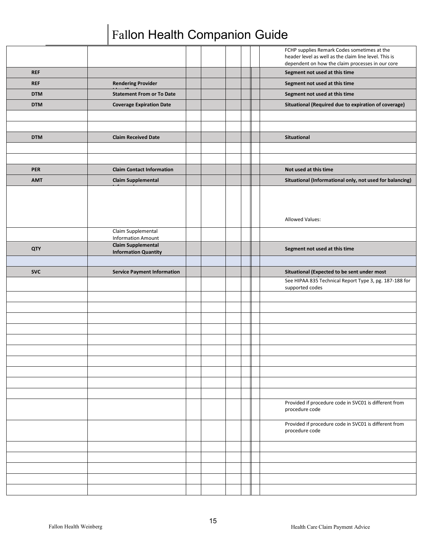|            |                                                 |  |  | FCHP supplies Remark Codes sometimes at the<br>header level as well as the claim line level. This is<br>dependent on how the claim processes in our core |
|------------|-------------------------------------------------|--|--|----------------------------------------------------------------------------------------------------------------------------------------------------------|
| <b>REF</b> |                                                 |  |  | Segment not used at this time                                                                                                                            |
| <b>REF</b> | <b>Rendering Provider</b>                       |  |  | Segment not used at this time                                                                                                                            |
| <b>DTM</b> | <b>Statement From or To Date</b>                |  |  | Segment not used at this time                                                                                                                            |
| <b>DTM</b> | <b>Coverage Expiration Date</b>                 |  |  | Situational (Required due to expiration of coverage)                                                                                                     |
|            |                                                 |  |  |                                                                                                                                                          |
|            |                                                 |  |  |                                                                                                                                                          |
| <b>DTM</b> | <b>Claim Received Date</b>                      |  |  | Situational                                                                                                                                              |
|            |                                                 |  |  |                                                                                                                                                          |
|            |                                                 |  |  |                                                                                                                                                          |
| <b>PER</b> | <b>Claim Contact Information</b>                |  |  | Not used at this time                                                                                                                                    |
| <b>AMT</b> | <b>Claim Supplemental</b>                       |  |  | Situational (Informational only, not used for balancing)                                                                                                 |
|            |                                                 |  |  | Allowed Values:                                                                                                                                          |
|            | Claim Supplemental<br><b>Information Amount</b> |  |  |                                                                                                                                                          |
| QTY        | <b>Claim Supplemental</b>                       |  |  | Segment not used at this time                                                                                                                            |
|            | <b>Information Quantity</b>                     |  |  |                                                                                                                                                          |
|            |                                                 |  |  |                                                                                                                                                          |
|            |                                                 |  |  |                                                                                                                                                          |
| <b>SVC</b> | <b>Service Payment Information</b>              |  |  | Situational (Expected to be sent under most<br>See HIPAA 835 Technical Report Type 3, pg. 187-188 for                                                    |
|            |                                                 |  |  | supported codes                                                                                                                                          |
|            |                                                 |  |  |                                                                                                                                                          |
|            |                                                 |  |  |                                                                                                                                                          |
|            |                                                 |  |  |                                                                                                                                                          |
|            |                                                 |  |  |                                                                                                                                                          |
|            |                                                 |  |  |                                                                                                                                                          |
|            |                                                 |  |  |                                                                                                                                                          |
|            |                                                 |  |  |                                                                                                                                                          |
|            |                                                 |  |  |                                                                                                                                                          |
|            |                                                 |  |  |                                                                                                                                                          |
|            |                                                 |  |  |                                                                                                                                                          |
|            |                                                 |  |  | Provided if procedure code in SVC01 is different from<br>procedure code                                                                                  |
|            |                                                 |  |  | Provided if procedure code in SVC01 is different from<br>procedure code                                                                                  |
|            |                                                 |  |  |                                                                                                                                                          |
|            |                                                 |  |  |                                                                                                                                                          |
|            |                                                 |  |  |                                                                                                                                                          |
|            |                                                 |  |  |                                                                                                                                                          |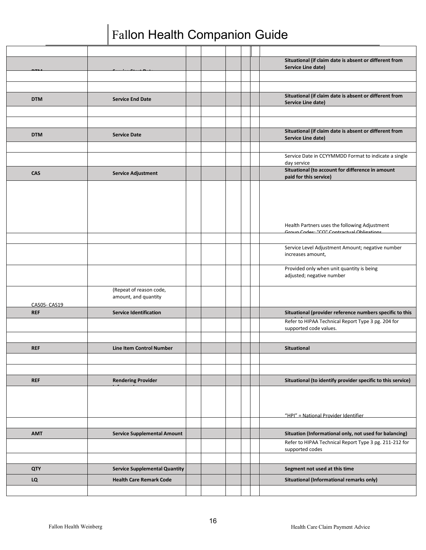|             |                                                 |  |  | Situational (if claim date is absent or different from<br>Service Line date) |
|-------------|-------------------------------------------------|--|--|------------------------------------------------------------------------------|
|             |                                                 |  |  |                                                                              |
|             |                                                 |  |  |                                                                              |
| <b>DTM</b>  | <b>Service End Date</b>                         |  |  | Situational (if claim date is absent or different from<br>Service Line date) |
|             |                                                 |  |  |                                                                              |
|             |                                                 |  |  |                                                                              |
| <b>DTM</b>  | <b>Service Date</b>                             |  |  | Situational (if claim date is absent or different from<br>Service Line date) |
|             |                                                 |  |  |                                                                              |
|             |                                                 |  |  | Service Date in CCYYMMDD Format to indicate a single<br>day service          |
| <b>CAS</b>  | <b>Service Adjustment</b>                       |  |  | Situational (to account for difference in amount<br>paid for this service)   |
|             |                                                 |  |  | Health Partners uses the following Adjustment                                |
|             |                                                 |  |  | Group Codos: "CO" Contractual Obligations                                    |
|             |                                                 |  |  |                                                                              |
|             |                                                 |  |  | Service Level Adjustment Amount; negative number<br>increases amount,        |
|             |                                                 |  |  | Provided only when unit quantity is being<br>adjusted; negative number       |
| CAS05-CAS19 | (Repeat of reason code,<br>amount, and quantity |  |  |                                                                              |
| <b>REF</b>  | <b>Service Identification</b>                   |  |  | Situational (provider reference numbers specific to this                     |
|             |                                                 |  |  | Refer to HIPAA Technical Report Type 3 pg. 204 for<br>supported code values. |
|             |                                                 |  |  |                                                                              |
| <b>REF</b>  | Line Item Control Number                        |  |  | <b>Situational</b>                                                           |
|             |                                                 |  |  |                                                                              |
|             |                                                 |  |  |                                                                              |
| <b>REF</b>  | <b>Rendering Provider</b>                       |  |  | Situational (to identify provider specific to this service)                  |
|             |                                                 |  |  | "HPI" = National Provider Identifier                                         |
|             |                                                 |  |  |                                                                              |
| <b>AMT</b>  | <b>Service Supplemental Amount</b>              |  |  | Situation (Informational only, not used for balancing)                       |
|             |                                                 |  |  | Refer to HIPAA Technical Report Type 3 pg. 211-212 for<br>supported codes    |
|             |                                                 |  |  |                                                                              |
| <b>QTY</b>  | <b>Service Supplemental Quantity</b>            |  |  | Segment not used at this time                                                |
| LQ          | <b>Health Care Remark Code</b>                  |  |  | Situational (Informational remarks only)                                     |
|             |                                                 |  |  |                                                                              |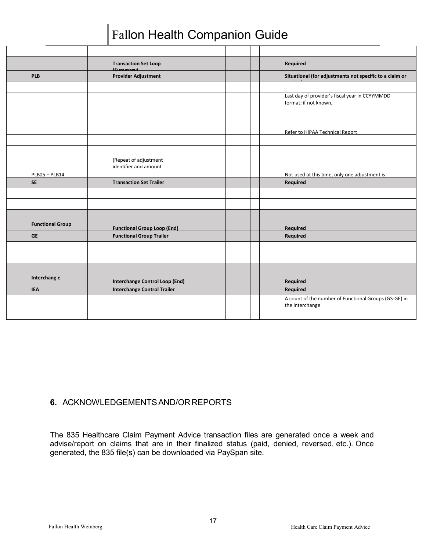|                         | <b>Transaction Set Loop</b><br>$[{\scriptstyle{\mathsf{C}}}, {\scriptstyle{\mathsf{C}}}, {\scriptstyle{\mathsf{C}}}]$ |  |  | Required                                                                 |
|-------------------------|-----------------------------------------------------------------------------------------------------------------------|--|--|--------------------------------------------------------------------------|
| <b>PLB</b>              | <b>Provider Adjustment</b>                                                                                            |  |  | Situational (for adjustments not specific to a claim or                  |
|                         |                                                                                                                       |  |  |                                                                          |
|                         |                                                                                                                       |  |  | Last day of provider's fiscal year in CCYYMMDD<br>format; if not known,  |
|                         |                                                                                                                       |  |  | Refer to HIPAA Technical Report                                          |
|                         |                                                                                                                       |  |  |                                                                          |
|                         |                                                                                                                       |  |  |                                                                          |
| PLB05-PLB14             | (Repeat of adjustment<br>identifier and amount                                                                        |  |  | Not used at this time, only one adjustment is                            |
| <b>SE</b>               | <b>Transaction Set Trailer</b>                                                                                        |  |  | Required                                                                 |
|                         |                                                                                                                       |  |  |                                                                          |
|                         |                                                                                                                       |  |  |                                                                          |
| <b>Functional Group</b> | <b>Functional Group Loop (End)</b>                                                                                    |  |  | Required                                                                 |
| <b>GE</b>               | <b>Functional Group Trailer</b>                                                                                       |  |  | Required                                                                 |
|                         |                                                                                                                       |  |  |                                                                          |
|                         |                                                                                                                       |  |  |                                                                          |
| Interchang e            | <b>Interchange Control Loop (End)</b>                                                                                 |  |  | Required                                                                 |
| <b>IEA</b>              | <b>Interchange Control Trailer</b>                                                                                    |  |  | Required                                                                 |
|                         |                                                                                                                       |  |  | A count of the number of Functional Groups (GS-GE) in<br>the interchange |
|                         |                                                                                                                       |  |  |                                                                          |

#### <span id="page-16-0"></span>**6.** ACKNOWLEDGEMENTSAND/ORREPORTS

The 835 Healthcare Claim Payment Advice transaction files are generated once a week and advise/report on claims that are in their finalized status (paid, denied, reversed, etc.). Once generated, the 835 file(s) can be downloaded via PaySpan site.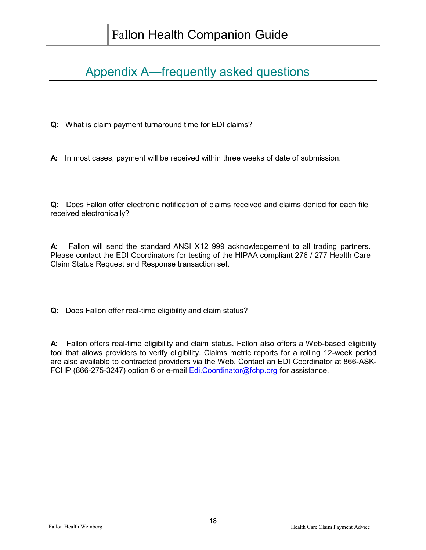### <span id="page-17-0"></span>Appendix A—frequently asked questions

**Q:** What is claim payment turnaround time for EDI claims?

**A:** In most cases, payment will be received within three weeks of date of submission.

**Q:** Does Fallon offer electronic notification of claims received and claims denied for each file received electronically?

**A:** Fallon will send the standard ANSI X12 999 acknowledgement to all trading partners. Please contact the EDI Coordinators for testing of the HIPAA compliant 276 / 277 Health Care Claim Status Request and Response transaction set.

**Q:** Does Fallon offer real-time eligibility and claim status?

**A:** Fallon offers real-time eligibility and claim status. Fallon also offers a Web-based eligibility tool that allows providers to verify eligibility. Claims metric reports for a rolling 12-week period are also available to contracted providers via the Web. Contact an EDI Coordinator at 866-ASK-FCHP (866-275-3247) option 6 or e-mail **Edi.Coordinator@fchp.org** for assistance.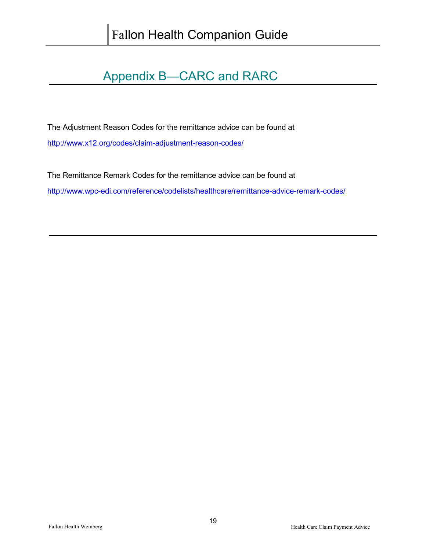### Appendix B—CARC and RARC

<span id="page-18-0"></span>The Adjustment Reason Codes for the remittance advice can be found at

<http://www.x12.org/codes/claim-adjustment-reason-codes/>

The Remittance Remark Codes for the remittance advice can be found at <http://www.wpc-edi.com/reference/codelists/healthcare/remittance-advice-remark-codes/>